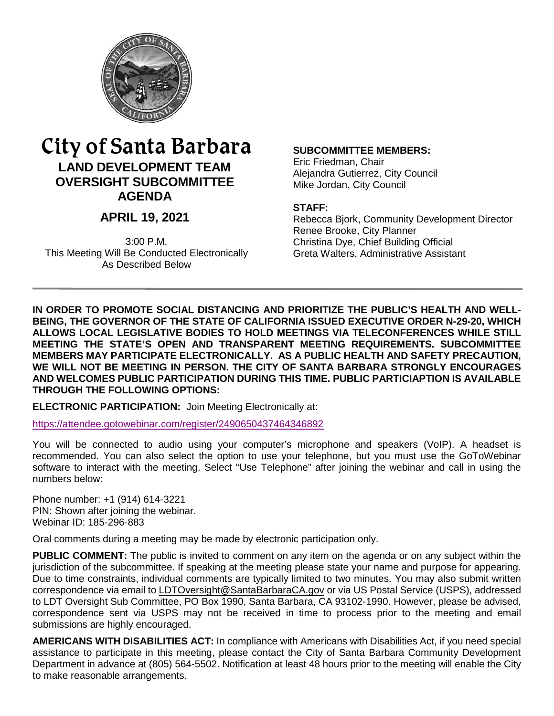

# City of Santa Barbara **LAND DEVELOPMENT TEAM OVERSIGHT SUBCOMMITTEE**

**AGENDA** 

# **APRIL 19, 2021**

3:00 P.M. This Meeting Will Be Conducted Electronically As Described Below

#### **SUBCOMMITTEE MEMBERS:**

Eric Friedman, Chair Alejandra Gutierrez, City Council Mike Jordan, City Council

#### **STAFF:**

Rebecca Bjork, Community Development Director Renee Brooke, City Planner Christina Dye, Chief Building Official Greta Walters, Administrative Assistant

**IN ORDER TO PROMOTE SOCIAL DISTANCING AND PRIORITIZE THE PUBLIC'S HEALTH AND WELL-BEING, THE GOVERNOR OF THE STATE OF CALIFORNIA ISSUED EXECUTIVE ORDER N-29-20, WHICH ALLOWS LOCAL LEGISLATIVE BODIES TO HOLD MEETINGS VIA TELECONFERENCES WHILE STILL MEETING THE STATE'S OPEN AND TRANSPARENT MEETING REQUIREMENTS. SUBCOMMITTEE MEMBERS MAY PARTICIPATE ELECTRONICALLY. AS A PUBLIC HEALTH AND SAFETY PRECAUTION, WE WILL NOT BE MEETING IN PERSON. THE CITY OF SANTA BARBARA STRONGLY ENCOURAGES AND WELCOMES PUBLIC PARTICIPATION DURING THIS TIME. PUBLIC PARTICIAPTION IS AVAILABLE THROUGH THE FOLLOWING OPTIONS:** 

**ELECTRONIC PARTICIPATION:** Join Meeting Electronically at:

<https://attendee.gotowebinar.com/register/2490650437464346892>

You will be connected to audio using your computer's microphone and speakers (VoIP). A headset is recommended. You can also select the option to use your telephone, but you must use the GoToWebinar software to interact with the meeting. Select "Use Telephone" after joining the webinar and call in using the numbers below:

Phone number: +1 (914) 614-3221 PIN: Shown after joining the webinar. Webinar ID: 185-296-883

Oral comments during a meeting may be made by electronic participation only.

**PUBLIC COMMENT:** The public is invited to comment on any item on the agenda or on any subject within the jurisdiction of the subcommittee. If speaking at the meeting please state your name and purpose for appearing. Due to time constraints, individual comments are typically limited to two minutes. You may also submit written correspondence via email to [LDTOversight@SantaBarbaraCA.gov](mailto:LDTOversight@SantaBarbaraCA.gov) or via US Postal Service (USPS), addressed to LDT Oversight Sub Committee, PO Box 1990, Santa Barbara, CA 93102-1990. However, please be advised, correspondence sent via USPS may not be received in time to process prior to the meeting and email submissions are highly encouraged.

**AMERICANS WITH DISABILITIES ACT:** In compliance with Americans with Disabilities Act, if you need special assistance to participate in this meeting, please contact the City of Santa Barbara Community Development Department in advance at (805) 564-5502. Notification at least 48 hours prior to the meeting will enable the City to make reasonable arrangements.